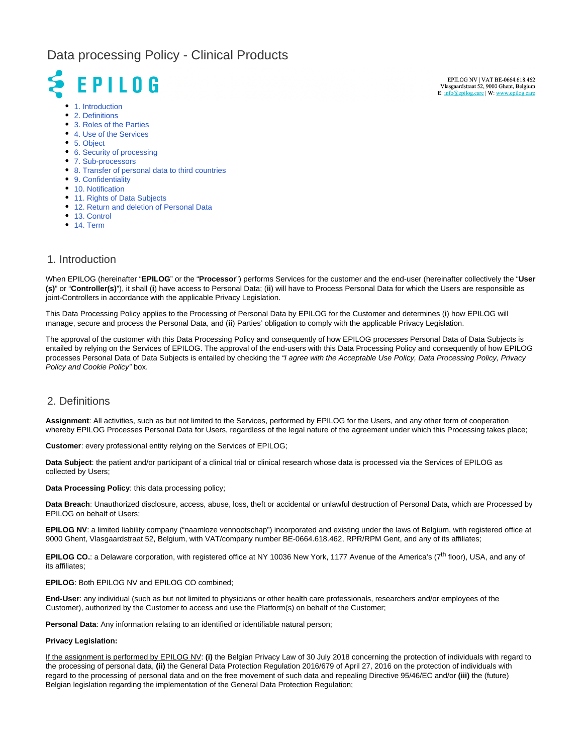# Data processing Policy - Clinical Products

# **EPILOG**

• [1. Introduction](#page-0-0)

- [2. Definitions](#page-0-1)
- [3. Roles of the Parties](#page-1-0)
- [4. Use of the Services](#page-1-1)
- [5. Object](#page-1-2)
- [6. Security of processing](#page-2-0)
- [7. Sub-processors](#page-2-1)
- [8. Transfer of personal data to third countries](#page-2-2)
- [9. Confidentiality](#page-2-3)
- [10. Notification](#page-3-0)
- [11. Rights of Data Subjects](#page-3-1)
- [12. Return and deletion of Personal Data](#page-3-2)
- [13. Control](#page-3-3)
- [14. Term](#page-4-0)

#### <span id="page-0-0"></span>1. Introduction

When EPILOG (hereinafter "**EPILOG**" or the "**Processor**") performs Services for the customer and the end-user (hereinafter collectively the "**User (s)**" or "**Controller(s)**"), it shall (**i**) have access to Personal Data; (**ii**) will have to Process Personal Data for which the Users are responsible as joint-Controllers in accordance with the applicable Privacy Legislation.

This Data Processing Policy applies to the Processing of Personal Data by EPILOG for the Customer and determines (**i**) how EPILOG will manage, secure and process the Personal Data, and (**ii**) Parties' obligation to comply with the applicable Privacy Legislation.

The approval of the customer with this Data Processing Policy and consequently of how EPILOG processes Personal Data of Data Subjects is entailed by relying on the Services of EPILOG. The approval of the end-users with this Data Processing Policy and consequently of how EPILOG processes Personal Data of Data Subjects is entailed by checking the "I agree with the Acceptable Use Policy, Data Processing Policy, Privacy Policy and Cookie Policy" box.

#### <span id="page-0-1"></span>2. Definitions

**Assignment**: All activities, such as but not limited to the Services, performed by EPILOG for the Users, and any other form of cooperation whereby EPILOG Processes Personal Data for Users, regardless of the legal nature of the agreement under which this Processing takes place;

**Customer**: every professional entity relying on the Services of EPILOG;

**Data Subject**: the patient and/or participant of a clinical trial or clinical research whose data is processed via the Services of EPILOG as collected by Users;

**Data Processing Policy**: this data processing policy;

**Data Breach**: Unauthorized disclosure, access, abuse, loss, theft or accidental or unlawful destruction of Personal Data, which are Processed by EPILOG on behalf of Users;

**EPILOG NV**: a limited liability company ("naamloze vennootschap") incorporated and existing under the laws of Belgium, with registered office at 9000 Ghent, Vlasgaardstraat 52, Belgium, with VAT/company number BE-0664.618.462, RPR/RPM Gent, and any of its affiliates;

**EPILOG CO.**: a Delaware corporation, with registered office at NY 10036 New York, 1177 Avenue of the America's (7<sup>th</sup> floor), USA, and any of its affiliates;

#### **EPILOG**: Both EPILOG NV and EPILOG CO combined;

**End-User**: any individual (such as but not limited to physicians or other health care professionals, researchers and/or employees of the Customer), authorized by the Customer to access and use the Platform(s) on behalf of the Customer;

**Personal Data**: Any information relating to an identified or identifiable natural person;

#### **Privacy Legislation:**

If the assignment is performed by EPILOG NV: **(i)** the Belgian Privacy Law of 30 July 2018 concerning the protection of individuals with regard to the processing of personal data, **(ii)** the General Data Protection Regulation 2016/679 of April 27, 2016 on the protection of individuals with regard to the processing of personal data and on the free movement of such data and repealing Directive 95/46/EC and/or **(iii)** the (future) Belgian legislation regarding the implementation of the General Data Protection Regulation;

EPILOG NV | VAT BE-0664.618.462 Vlasgaardstraat 52, 9000 Ghent, Belgium E: info@epilog.care | W: www.epile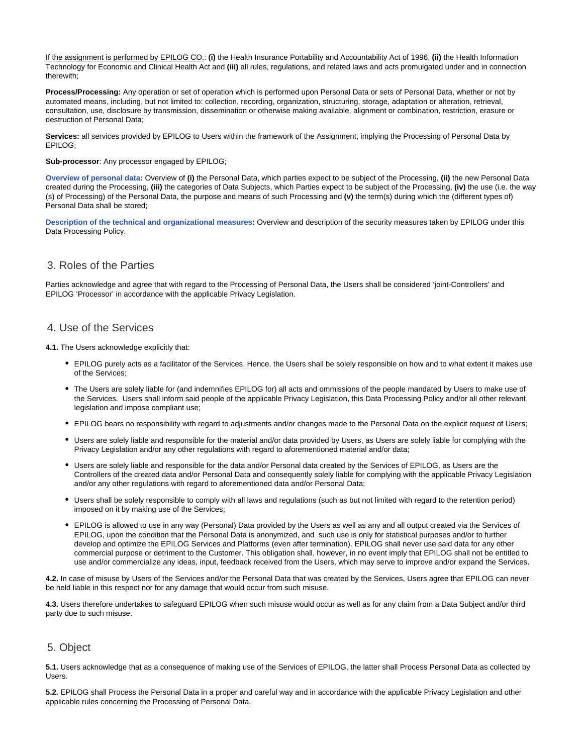If the assignment is performed by EPILOG CO.: **(i)** the Health Insurance Portability and Accountability Act of 1996, **(ii)** the Health Information Technology for Economic and Clinical Health Act and **(iii)** all rules, regulations, and related laws and acts promulgated under and in connection therewith;

**Process/Processing:** Any operation or set of operation which is performed upon Personal Data or sets of Personal Data, whether or not by automated means, including, but not limited to: collection, recording, organization, structuring, storage, adaptation or alteration, retrieval, consultation, use, disclosure by transmission, dissemination or otherwise making available, alignment or combination, restriction, erasure or destruction of Personal Data;

Services: all services provided by EPILOG to Users within the framework of the Assignment, implying the Processing of Personal Data by EPILOG;

**Sub-processor**: Any processor engaged by EPILOG;

**[Overview of personal data](https://epilogeeg.atlassian.net/wiki/external/3333554185/NDkzY2ZhNjIyYzI0NGQxZTljZmRlYTRlN2RiYjE1MmI?atlOrigin=eyJpIjoiMWY3MWE2NTM3MGMzNDc5NWEyYzQzMjlhNWYyOTQ1NDAiLCJwIjoiYyJ9):** Overview of **(i)** the Personal Data, which parties expect to be subject of the Processing, **(ii)** the new Personal Data created during the Processing, **(iii)** the categories of Data Subjects, which Parties expect to be subject of the Processing, **(iv)** the use (i.e. the way (s) of Processing) of the Personal Data, the purpose and means of such Processing and **(v)** the term(s) during which the (different types of) Personal Data shall be stored;

**[Description of the technical and organizational measures](https://epilogeeg.atlassian.net/wiki/external/3333652495/YjQ1YTY1NDkzYmRkNDgxMzgxYTRkMmJhNzUwNWFhZDU?atlOrigin=eyJpIjoiYTA4ZWYwZWI5NzhiNDg0MTk2NzI3YjY1YjM1YTlhYWMiLCJwIjoiYyJ9):** Overview and description of the security measures taken by EPILOG under this Data Processing Policy.

#### <span id="page-1-0"></span>3. Roles of the Parties

Parties acknowledge and agree that with regard to the Processing of Personal Data, the Users shall be considered 'joint-Controllers' and EPILOG 'Processor' in accordance with the applicable Privacy Legislation.

#### <span id="page-1-1"></span>4. Use of the Services

**4.1.** The Users acknowledge explicitly that:

- EPILOG purely acts as a facilitator of the Services. Hence, the Users shall be solely responsible on how and to what extent it makes use of the Services;
- The Users are solely liable for (and indemnifies EPILOG for) all acts and ommissions of the people mandated by Users to make use of the Services. Users shall inform said people of the applicable Privacy Legislation, this Data Processing Policy and/or all other relevant legislation and impose compliant use;
- EPILOG bears no responsibility with regard to adjustments and/or changes made to the Personal Data on the explicit request of Users;
- Users are solely liable and responsible for the material and/or data provided by Users, as Users are solely liable for complying with the Privacy Legislation and/or any other regulations with regard to aforementioned material and/or data;
- Users are solely liable and responsible for the data and/or Personal data created by the Services of EPILOG, as Users are the Controllers of the created data and/or Personal Data and consequently solely liable for complying with the applicable Privacy Legislation and/or any other regulations with regard to aforementioned data and/or Personal Data;
- Users shall be solely responsible to comply with all laws and regulations (such as but not limited with regard to the retention period) imposed on it by making use of the Services;
- EPILOG is allowed to use in any way (Personal) Data provided by the Users as well as any and all output created via the Services of EPILOG, upon the condition that the Personal Data is anonymized, and such use is only for statistical purposes and/or to further develop and optimize the EPILOG Services and Platforms (even after termination). EPILOG shall never use said data for any other commercial purpose or detriment to the Customer. This obligation shall, however, in no event imply that EPILOG shall not be entitled to use and/or commercialize any ideas, input, feedback received from the Users, which may serve to improve and/or expand the Services.

**4.2.** In case of misuse by Users of the Services and/or the Personal Data that was created by the Services, Users agree that EPILOG can never be held liable in this respect nor for any damage that would occur from such misuse.

**4.3.** Users therefore undertakes to safeguard EPILOG when such misuse would occur as well as for any claim from a Data Subject and/or third party due to such misuse.

#### <span id="page-1-2"></span>5. Object

**5.1.** Users acknowledge that as a consequence of making use of the Services of EPILOG, the latter shall Process Personal Data as collected by Users.

**5.2.** EPILOG shall Process the Personal Data in a proper and careful way and in accordance with the applicable Privacy Legislation and other applicable rules concerning the Processing of Personal Data.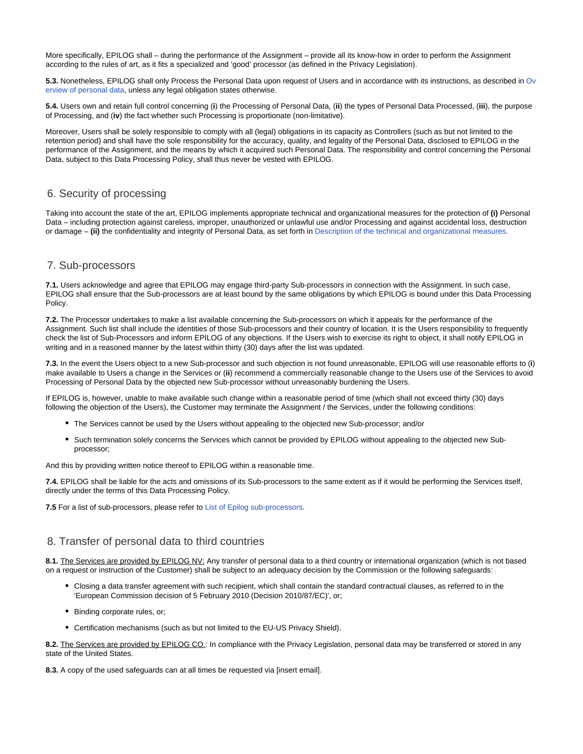More specifically, EPILOG shall – during the performance of the Assignment – provide all its know-how in order to perform the Assignment according to the rules of art, as it fits a specialized and 'good' processor (as defined in the Privacy Legislation).

**5.3.** Nonetheless, EPILOG shall only Process the Personal Data upon request of Users and in accordance with its instructions, as described in [Ov](https://epilogeeg.atlassian.net/wiki/external/3333554185/NDkzY2ZhNjIyYzI0NGQxZTljZmRlYTRlN2RiYjE1MmI?atlOrigin=eyJpIjoiMWY3MWE2NTM3MGMzNDc5NWEyYzQzMjlhNWYyOTQ1NDAiLCJwIjoiYyJ9) [erview of personal data,](https://epilogeeg.atlassian.net/wiki/external/3333554185/NDkzY2ZhNjIyYzI0NGQxZTljZmRlYTRlN2RiYjE1MmI?atlOrigin=eyJpIjoiMWY3MWE2NTM3MGMzNDc5NWEyYzQzMjlhNWYyOTQ1NDAiLCJwIjoiYyJ9) unless any legal obligation states otherwise.

**5.4.** Users own and retain full control concerning (**i**) the Processing of Personal Data, (**ii**) the types of Personal Data Processed, (**iii**), the purpose of Processing, and (**iv**) the fact whether such Processing is proportionate (non-limitative).

Moreover, Users shall be solely responsible to comply with all (legal) obligations in its capacity as Controllers (such as but not limited to the retention period) and shall have the sole responsibility for the accuracy, quality, and legality of the Personal Data, disclosed to EPILOG in the performance of the Assignment, and the means by which it acquired such Personal Data. The responsibility and control concerning the Personal Data, subject to this Data Processing Policy, shall thus never be vested with EPILOG.

#### <span id="page-2-0"></span>6. Security of processing

Taking into account the state of the art, EPILOG implements appropriate technical and organizational measures for the protection of **(i)** Personal Data – including protection against careless, improper, unauthorized or unlawful use and/or Processing and against accidental loss, destruction or damage – **(ii)** the confidentiality and integrity of Personal Data, as set forth in [Description of the technical and organizational measures.](https://epilogeeg.atlassian.net/wiki/external/3333652495/YjQ1YTY1NDkzYmRkNDgxMzgxYTRkMmJhNzUwNWFhZDU?atlOrigin=eyJpIjoiYTA4ZWYwZWI5NzhiNDg0MTk2NzI3YjY1YjM1YTlhYWMiLCJwIjoiYyJ9)

#### <span id="page-2-1"></span>7. Sub-processors

**7.1.** Users acknowledge and agree that EPILOG may engage third-party Sub-processors in connection with the Assignment. In such case, EPILOG shall ensure that the Sub-processors are at least bound by the same obligations by which EPILOG is bound under this Data Processing Policy.

**7.2.** The Processor undertakes to make a list available concerning the Sub-processors on which it appeals for the performance of the Assignment. Such list shall include the identities of those Sub-processors and their country of location. It is the Users responsibility to frequently check the list of Sub-Processors and inform EPILOG of any objections. If the Users wish to exercise its right to object, it shall notify EPILOG in writing and in a reasoned manner by the latest within thirty (30) days after the list was updated.

**7.3.** In the event the Users object to a new Sub-processor and such objection is not found unreasonable, EPILOG will use reasonable efforts to (**i**) make available to Users a change in the Services or (**ii**) recommend a commercially reasonable change to the Users use of the Services to avoid Processing of Personal Data by the objected new Sub-processor without unreasonably burdening the Users.

If EPILOG is, however, unable to make available such change within a reasonable period of time (which shall not exceed thirty (30) days following the objection of the Users), the Customer may terminate the Assignment / the Services, under the following conditions:

- The Services cannot be used by the Users without appealing to the objected new Sub-processor; and/or
- Such termination solely concerns the Services which cannot be provided by EPILOG without appealing to the objected new Subprocessor;

And this by providing written notice thereof to EPILOG within a reasonable time.

**7.4.** EPILOG shall be liable for the acts and omissions of its Sub-processors to the same extent as if it would be performing the Services itself, directly under the terms of this Data Processing Policy.

**7.5** For a list of sub-processors, please refer to [List of Epilog sub-processors.](https://epilogeeg.atlassian.net/wiki/external/3334209556/YWJkNDRhNTQzMmNmNGYxOGE1NDI2YjRiMmU3MTRhYzk?atlOrigin=eyJpIjoiMGNjOTk3Y2Q2MGIwNGIzYWEyMTcyMWY2ODZhOTY4MGMiLCJwIjoiYyJ9)

#### <span id="page-2-2"></span>8. Transfer of personal data to third countries

**8.1.** The Services are provided by EPILOG NV: Any transfer of personal data to a third country or international organization (which is not based on a request or instruction of the Customer) shall be subject to an adequacy decision by the Commission or the following safeguards:

- Closing a data transfer agreement with such recipient, which shall contain the standard contractual clauses, as referred to in the 'European Commission decision of 5 February 2010 (Decision 2010/87/EC)', or;
- Binding corporate rules, or;
- Certification mechanisms (such as but not limited to the EU-US Privacy Shield).

**8.2.** The Services are provided by EPILOG CO.: In compliance with the Privacy Legislation, personal data may be transferred or stored in any state of the United States.

<span id="page-2-3"></span>**8.3.** A copy of the used safeguards can at all times be requested via [insert email].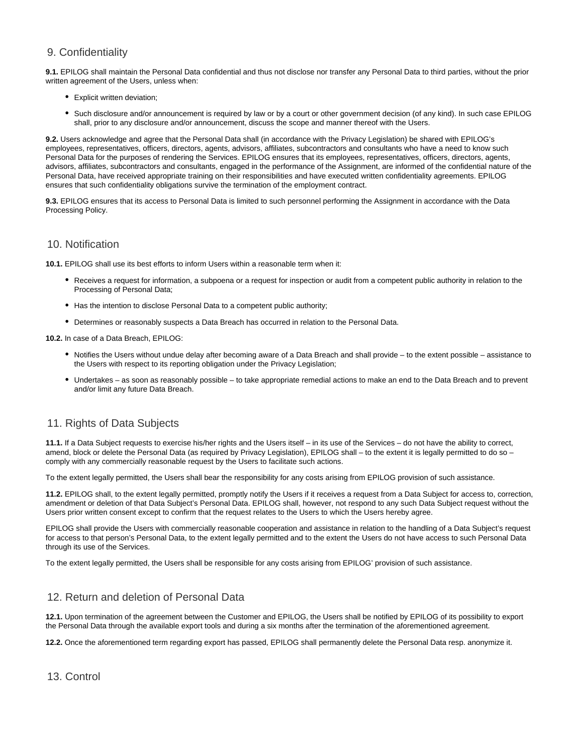### 9. Confidentiality

**9.1.** EPILOG shall maintain the Personal Data confidential and thus not disclose nor transfer any Personal Data to third parties, without the prior written agreement of the Users, unless when:

- Explicit written deviation;
- Such disclosure and/or announcement is required by law or by a court or other government decision (of any kind). In such case EPILOG shall, prior to any disclosure and/or announcement, discuss the scope and manner thereof with the Users.

**9.2.** Users acknowledge and agree that the Personal Data shall (in accordance with the Privacy Legislation) be shared with EPILOG's employees, representatives, officers, directors, agents, advisors, affiliates, subcontractors and consultants who have a need to know such Personal Data for the purposes of rendering the Services. EPILOG ensures that its employees, representatives, officers, directors, agents, advisors, affiliates, subcontractors and consultants, engaged in the performance of the Assignment, are informed of the confidential nature of the Personal Data, have received appropriate training on their responsibilities and have executed written confidentiality agreements. EPILOG ensures that such confidentiality obligations survive the termination of the employment contract.

**9.3.** EPILOG ensures that its access to Personal Data is limited to such personnel performing the Assignment in accordance with the Data Processing Policy.

#### <span id="page-3-0"></span>10. Notification

**10.1.** EPILOG shall use its best efforts to inform Users within a reasonable term when it:

- Receives a request for information, a subpoena or a request for inspection or audit from a competent public authority in relation to the Processing of Personal Data;
- Has the intention to disclose Personal Data to a competent public authority;
- Determines or reasonably suspects a Data Breach has occurred in relation to the Personal Data.

**10.2.** In case of a Data Breach, EPILOG:

- Notifies the Users without undue delay after becoming aware of a Data Breach and shall provide to the extent possible assistance to the Users with respect to its reporting obligation under the Privacy Legislation;
- Undertakes as soon as reasonably possible to take appropriate remedial actions to make an end to the Data Breach and to prevent and/or limit any future Data Breach.

## <span id="page-3-1"></span>11. Rights of Data Subjects

**11.1.** If a Data Subject requests to exercise his/her rights and the Users itself – in its use of the Services – do not have the ability to correct, amend, block or delete the Personal Data (as required by Privacy Legislation), EPILOG shall – to the extent it is legally permitted to do so – comply with any commercially reasonable request by the Users to facilitate such actions.

To the extent legally permitted, the Users shall bear the responsibility for any costs arising from EPILOG provision of such assistance.

**11.2.** EPILOG shall, to the extent legally permitted, promptly notify the Users if it receives a request from a Data Subject for access to, correction, amendment or deletion of that Data Subject's Personal Data. EPILOG shall, however, not respond to any such Data Subject request without the Users prior written consent except to confirm that the request relates to the Users to which the Users hereby agree.

EPILOG shall provide the Users with commercially reasonable cooperation and assistance in relation to the handling of a Data Subject's request for access to that person's Personal Data, to the extent legally permitted and to the extent the Users do not have access to such Personal Data through its use of the Services.

To the extent legally permitted, the Users shall be responsible for any costs arising from EPILOG' provision of such assistance.

#### <span id="page-3-2"></span>12. Return and deletion of Personal Data

**12.1.** Upon termination of the agreement between the Customer and EPILOG, the Users shall be notified by EPILOG of its possibility to export the Personal Data through the available export tools and during a six months after the termination of the aforementioned agreement.

<span id="page-3-3"></span>**12.2.** Once the aforementioned term regarding export has passed, EPILOG shall permanently delete the Personal Data resp. anonymize it.